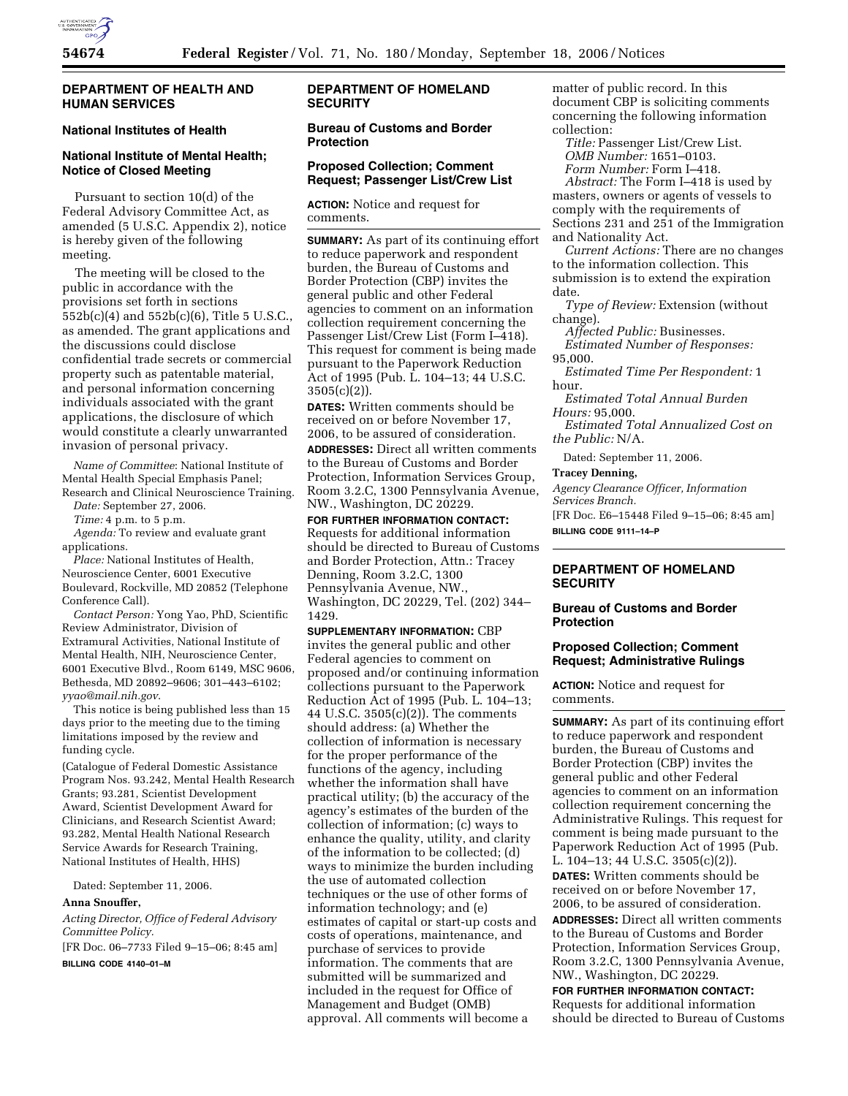

## **DEPARTMENT OF HEALTH AND HUMAN SERVICES**

## **National Institutes of Health**

# **National Institute of Mental Health; Notice of Closed Meeting**

Pursuant to section 10(d) of the Federal Advisory Committee Act, as amended (5 U.S.C. Appendix 2), notice is hereby given of the following meeting.

The meeting will be closed to the public in accordance with the provisions set forth in sections 552b(c)(4) and 552b(c)(6), Title 5 U.S.C., as amended. The grant applications and the discussions could disclose confidential trade secrets or commercial property such as patentable material, and personal information concerning individuals associated with the grant applications, the disclosure of which would constitute a clearly unwarranted invasion of personal privacy.

*Name of Committee*: National Institute of Mental Health Special Emphasis Panel; Research and Clinical Neuroscience Training.

*Date:* September 27, 2006.

*Time:* 4 p.m. to 5 p.m.

*Agenda:* To review and evaluate grant applications.

*Place:* National Institutes of Health, Neuroscience Center, 6001 Executive Boulevard, Rockville, MD 20852 (Telephone Conference Call).

*Contact Person:* Yong Yao, PhD, Scientific Review Administrator, Division of Extramural Activities, National Institute of Mental Health, NIH, Neuroscience Center, 6001 Executive Blvd., Room 6149, MSC 9606, Bethesda, MD 20892–9606; 301–443–6102; *yyao@mail.nih.gov*.

This notice is being published less than 15 days prior to the meeting due to the timing limitations imposed by the review and funding cycle.

(Catalogue of Federal Domestic Assistance Program Nos. 93.242, Mental Health Research Grants; 93.281, Scientist Development Award, Scientist Development Award for Clinicians, and Research Scientist Award; 93.282, Mental Health National Research Service Awards for Research Training, National Institutes of Health, HHS)

Dated: September 11, 2006.

#### **Anna Snouffer,**

*Acting Director, Office of Federal Advisory Committee Policy.* 

[FR Doc. 06–7733 Filed 9–15–06; 8:45 am]

**BILLING CODE 4140–01–M** 

## **DEPARTMENT OF HOMELAND SECURITY**

## **Bureau of Customs and Border Protection**

### **Proposed Collection; Comment Request; Passenger List/Crew List**

**ACTION:** Notice and request for comments.

**SUMMARY:** As part of its continuing effort to reduce paperwork and respondent burden, the Bureau of Customs and Border Protection (CBP) invites the general public and other Federal agencies to comment on an information collection requirement concerning the Passenger List/Crew List (Form I–418). This request for comment is being made pursuant to the Paperwork Reduction Act of 1995 (Pub. L. 104–13; 44 U.S.C. 3505(c)(2)).

**DATES:** Written comments should be received on or before November 17, 2006, to be assured of consideration.

**ADDRESSES:** Direct all written comments to the Bureau of Customs and Border Protection, Information Services Group, Room 3.2.C, 1300 Pennsylvania Avenue, NW., Washington, DC 20229.

**FOR FURTHER INFORMATION CONTACT:**  Requests for additional information should be directed to Bureau of Customs and Border Protection, Attn.: Tracey Denning, Room 3.2.C, 1300 Pennsylvania Avenue, NW., Washington, DC 20229, Tel. (202) 344– 1429.

**SUPPLEMENTARY INFORMATION:** CBP invites the general public and other Federal agencies to comment on proposed and/or continuing information collections pursuant to the Paperwork Reduction Act of 1995 (Pub. L. 104–13; 44 U.S.C. 3505(c)(2)). The comments should address: (a) Whether the collection of information is necessary for the proper performance of the functions of the agency, including whether the information shall have practical utility; (b) the accuracy of the agency's estimates of the burden of the collection of information; (c) ways to enhance the quality, utility, and clarity of the information to be collected; (d) ways to minimize the burden including the use of automated collection techniques or the use of other forms of information technology; and (e) estimates of capital or start-up costs and costs of operations, maintenance, and purchase of services to provide information. The comments that are submitted will be summarized and included in the request for Office of Management and Budget (OMB) approval. All comments will become a

matter of public record. In this document CBP is soliciting comments concerning the following information collection:

*Title:* Passenger List/Crew List. *OMB Number:* 1651–0103. *Form Number:* Form I–418.

*Abstract:* The Form I–418 is used by masters, owners or agents of vessels to comply with the requirements of Sections 231 and 251 of the Immigration and Nationality Act.

*Current Actions:* There are no changes to the information collection. This submission is to extend the expiration date.

*Type of Review:* Extension (without change).

*Affected Public:* Businesses.

*Estimated Number of Responses:*  95,000.

*Estimated Time Per Respondent:* 1 hour.

*Estimated Total Annual Burden Hours:* 95,000.

*Estimated Total Annualized Cost on the Public:* N/A.

Dated: September 11, 2006.

#### **Tracey Denning,**

*Agency Clearance Officer, Information Services Branch.* 

[FR Doc. E6–15448 Filed 9–15–06; 8:45 am] **BILLING CODE 9111–14–P** 

## **DEPARTMENT OF HOMELAND SECURITY**

## **Bureau of Customs and Border Protection**

### **Proposed Collection; Comment Request; Administrative Rulings**

**ACTION:** Notice and request for comments.

**SUMMARY:** As part of its continuing effort to reduce paperwork and respondent burden, the Bureau of Customs and Border Protection (CBP) invites the general public and other Federal agencies to comment on an information collection requirement concerning the Administrative Rulings. This request for comment is being made pursuant to the Paperwork Reduction Act of 1995 (Pub. L. 104–13; 44 U.S.C. 3505(c)(2)).

**DATES:** Written comments should be received on or before November 17, 2006, to be assured of consideration. **ADDRESSES:** Direct all written comments to the Bureau of Customs and Border

Protection, Information Services Group, Room 3.2.C, 1300 Pennsylvania Avenue, NW., Washington, DC 20229.

**FOR FURTHER INFORMATION CONTACT:**  Requests for additional information should be directed to Bureau of Customs